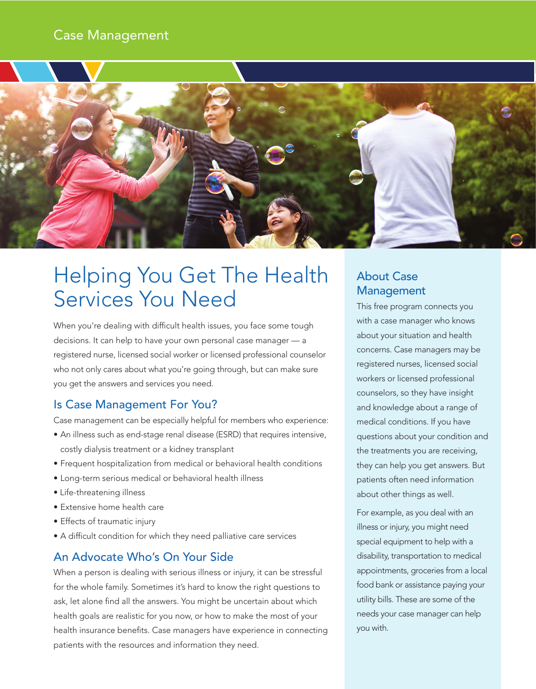## Case Management



# Helping You Get The Health Services You Need

When you're dealing with difficult health issues, you face some tough decisions. It can help to have your own personal case manager — a registered nurse, licensed social worker or licensed professional counselor who not only cares about what you're going through, but can make sure you get the answers and services you need.

#### Is Case Management For You?

Case management can be especially helpful for members who experience:

- An illness such as end-stage renal disease (ESRD) that requires intensive, costly dialysis treatment or a kidney transplant
- Frequent hospitalization from medical or behavioral health conditions
- Long-term serious medical or behavioral health illness
- Life-threatening illness
- Extensive home health care
- Effects of traumatic injury
- A difficult condition for which they need palliative care services

#### An Advocate Who's On Your Side

When a person is dealing with serious illness or injury, it can be stressful for the whole family. Sometimes it's hard to know the right questions to ask, let alone find all the answers. You might be uncertain about which health goals are realistic for you now, or how to make the most of your health insurance benefits. Case managers have experience in connecting patients with the resources and information they need.

# About Case Management

This free program connects you with a case manager who knows about your situation and health concerns. Case managers may be registered nurses, licensed social workers or licensed professional counselors, so they have insight and knowledge about a range of medical conditions. If you have questions about your condition and the treatments you are receiving, they can help you get answers. But patients often need information about other things as well.

For example, as you deal with an illness or injury, you might need special equipment to help with a disability, transportation to medical appointments, groceries from a local food bank or assistance paying your utility bills. These are some of the needs your case manager can help you with.